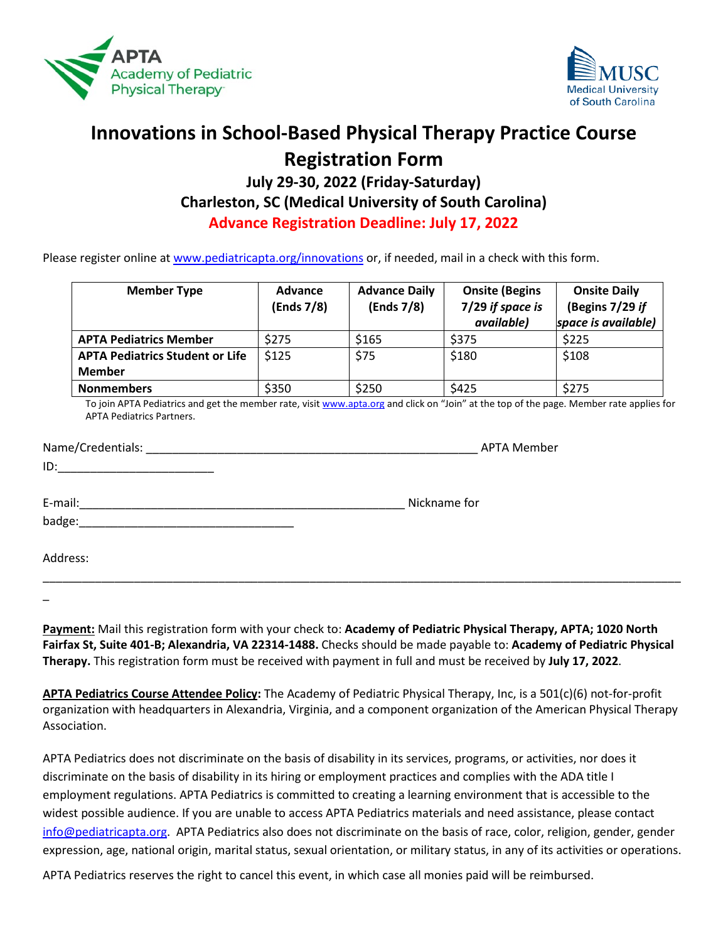



## **Innovations in School-Based Physical Therapy Practice Course Registration Form**

## **July 29-30, 2022 (Friday-Saturday) Charleston, SC (Medical University of South Carolina) Advance Registration Deadline: July 17, 2022**

Please register online at [www.pediatricapta.org/innovations](http://www.pediatricapta.org/innovations) or, if needed, mail in a check with this form.

| <b>Member Type</b>                     | <b>Advance</b><br>(Ends 7/8) | <b>Advance Daily</b><br>(Ends 7/8) | <b>Onsite (Begins</b><br>7/29 if space is<br>available) | <b>Onsite Daily</b><br>(Begins 7/29 if<br>space is available) |
|----------------------------------------|------------------------------|------------------------------------|---------------------------------------------------------|---------------------------------------------------------------|
| <b>APTA Pediatrics Member</b>          | \$275                        | \$165                              | \$375                                                   | \$225                                                         |
| <b>APTA Pediatrics Student or Life</b> | \$125                        | \$75                               | \$180                                                   | \$108                                                         |
| <b>Member</b>                          |                              |                                    |                                                         |                                                               |
| <b>Nonmembers</b>                      | \$350                        | \$250                              | \$425                                                   | \$275                                                         |

To join APTA Pediatrics and get the member rate, visi[t www.apta.org](http://www.apta.org/) and click on "Join" at the top of the page. Member rate applies for APTA Pediatrics Partners.

| Name/Credentials:<br><u> 1980 - Jan Barat, margaret al II-lea (b. 1980)</u>                                                     | <b>APTA Member</b> |
|---------------------------------------------------------------------------------------------------------------------------------|--------------------|
| ID:<br><u> 1999 - Johann John Stone, market fan it ferstjer fan it ferstjer fan it ferstjer fan it ferstjer fan it ferstjer</u> |                    |
|                                                                                                                                 |                    |
| E-mail:                                                                                                                         | Nickname for       |
| badge:<br>the control of the control of the control of the control of the control of the control of                             |                    |
|                                                                                                                                 |                    |
| Address:                                                                                                                        |                    |

\_\_\_\_\_\_\_\_\_\_\_\_\_\_\_\_\_\_\_\_\_\_\_\_\_\_\_\_\_\_\_\_\_\_\_\_\_\_\_\_\_\_\_\_\_\_\_\_\_\_\_\_\_\_\_\_\_\_\_\_\_\_\_\_\_\_\_\_\_\_\_\_\_\_\_\_\_\_\_\_\_\_\_\_\_\_\_\_\_\_\_\_\_\_\_\_\_\_

\_

**Payment:** Mail this registration form with your check to: **Academy of Pediatric Physical Therapy, APTA; 1020 North Fairfax St, Suite 401-B; Alexandria, VA 22314-1488.** Checks should be made payable to: **Academy of Pediatric Physical Therapy.** This registration form must be received with payment in full and must be received by **July 17, 2022**.

**APTA Pediatrics Course Attendee Policy:** The Academy of Pediatric Physical Therapy, Inc, is a 501(c)(6) not-for-profit organization with headquarters in Alexandria, Virginia, and a component organization of the American Physical Therapy Association.

APTA Pediatrics does not discriminate on the basis of disability in its services, programs, or activities, nor does it discriminate on the basis of disability in its hiring or employment practices and complies with the ADA title I employment regulations. APTA Pediatrics is committed to creating a learning environment that is accessible to the widest possible audience. If you are unable to access APTA Pediatrics materials and need assistance, please contact [info@pediatricapta.org.](mailto:info@pediatricapta.org) APTA Pediatrics also does not discriminate on the basis of race, color, religion, gender, gender expression, age, national origin, marital status, sexual orientation, or military status, in any of its activities or operations.

APTA Pediatrics reserves the right to cancel this event, in which case all monies paid will be reimbursed.